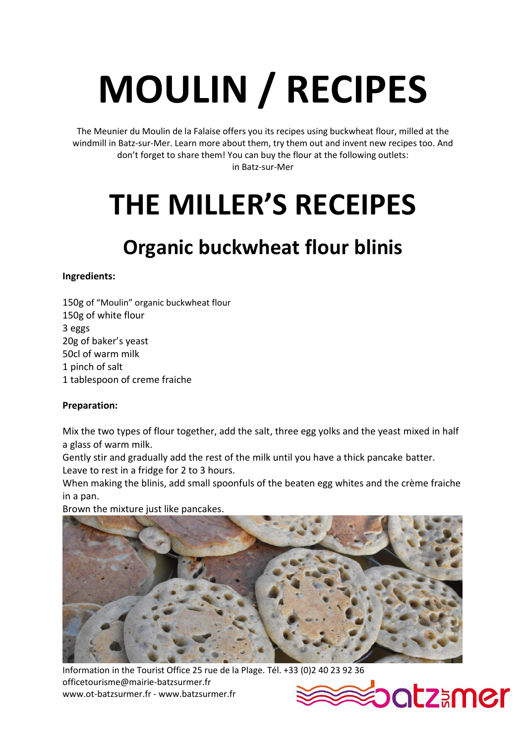# **MOULIN / RECIPES**

The Meunier du Moulin de la Falaise offers you its recipes using buckwheat flour, milled at the windmill in Batz-sur-Mer. Learn more about them, try them out and invent new recipes too. And don't forget to share them! You can buy the flour at the following outlets: in Batz-sur-Mer

## **THE MILLER'S RECEIPES**

### **Organic buckwheat flour blinis**

#### **Ingredients:**

150g of "Moulin" organic buckwheat flour 150g of white flour 3 eggs 20g of baker's yeast 50cl of warm milk 1 pinch of salt 1 tablespoon of creme fraiche

#### **Preparation:**

Mix the two types of flour together, add the salt, three egg yolks and the yeast mixed in half a glass of warm milk.

Gently stir and gradually add the rest of the milk until you have a thick pancake batter. Leave to rest in a fridge for 2 to 3 hours.

When making the blinis, add small spoonfuls of the beaten egg whites and the crème fraiche in a pan.

Brown the mixture just like pancakes.



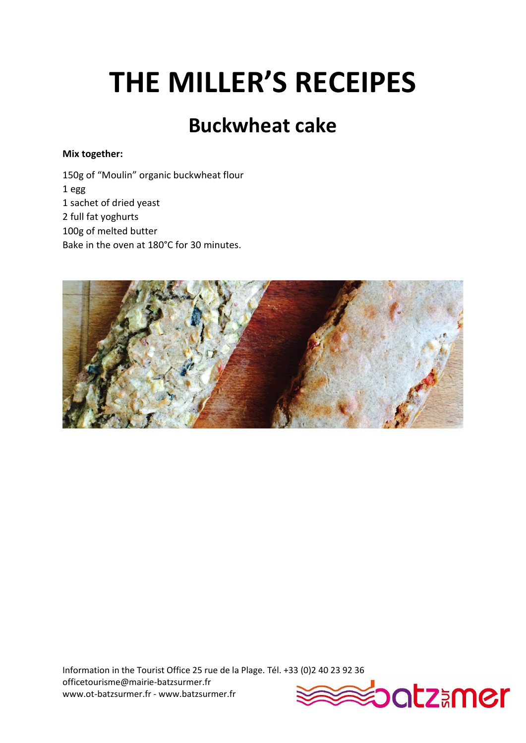### **Buckwheat cake**

#### **Mix together:**

150g of "Moulin" organic buckwheat flour 1 egg 1 sachet of dried yeast 2 full fat yoghurts 100g of melted butter Bake in the oven at 180°C for 30 minutes.



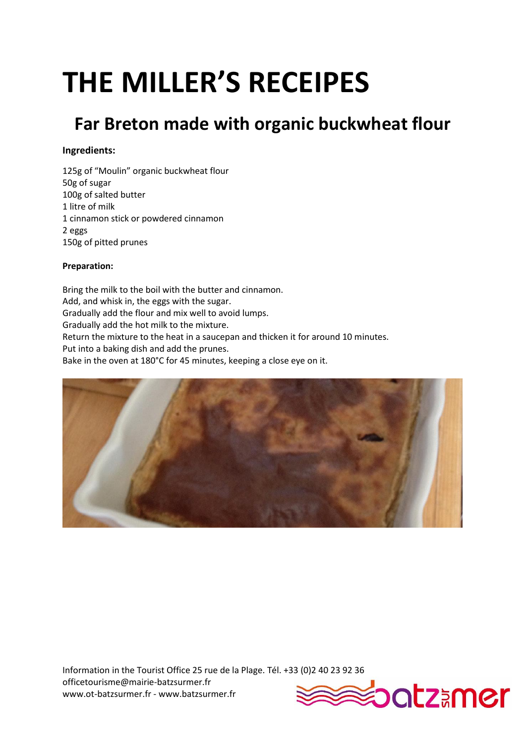### **Far Breton made with organic buckwheat flour**

#### **Ingredients:**

125g of "Moulin" organic buckwheat flour 50g of sugar 100g of salted butter 1 litre of milk 1 cinnamon stick or powdered cinnamon 2 eggs 150g of pitted prunes

#### **Preparation:**

Bring the milk to the boil with the butter and cinnamon. Add, and whisk in, the eggs with the sugar. Gradually add the flour and mix well to avoid lumps. Gradually add the hot milk to the mixture. Return the mixture to the heat in a saucepan and thicken it for around 10 minutes. Put into a baking dish and add the prunes. Bake in the oven at 180°C for 45 minutes, keeping a close eye on it.



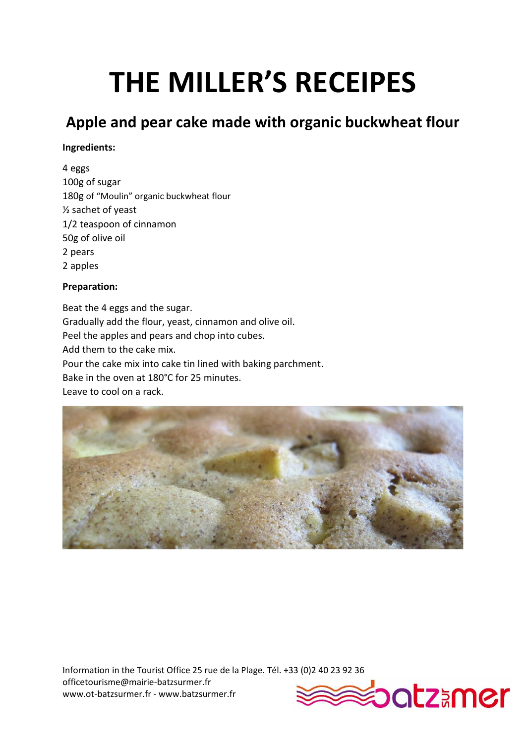### **Apple and pear cake made with organic buckwheat flour**

#### **Ingredients:**

4 eggs 100g of sugar 180g of "Moulin" organic buckwheat flour ½ sachet of yeast 1/2 teaspoon of cinnamon 50g of olive oil 2 pears 2 apples

#### **Preparation:**

Beat the 4 eggs and the sugar. Gradually add the flour, yeast, cinnamon and olive oil. Peel the apples and pears and chop into cubes. Add them to the cake mix. Pour the cake mix into cake tin lined with baking parchment. Bake in the oven at 180°C for 25 minutes. Leave to cool on a rack.



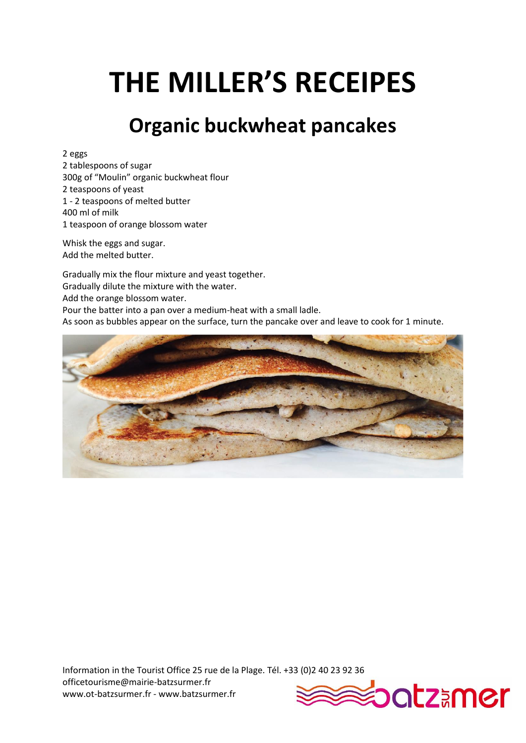### **Organic buckwheat pancakes**

2 eggs

2 tablespoons of sugar 300g of "Moulin" organic buckwheat flour 2 teaspoons of yeast 1 - 2 teaspoons of melted butter 400 ml of milk 1 teaspoon of orange blossom water

Whisk the eggs and sugar. Add the melted butter.

Gradually mix the flour mixture and yeast together. Gradually dilute the mixture with the water. Add the orange blossom water. Pour the batter into a pan over a medium-heat with a small ladle. As soon as bubbles appear on the surface, turn the pancake over and leave to cook for 1 minute.